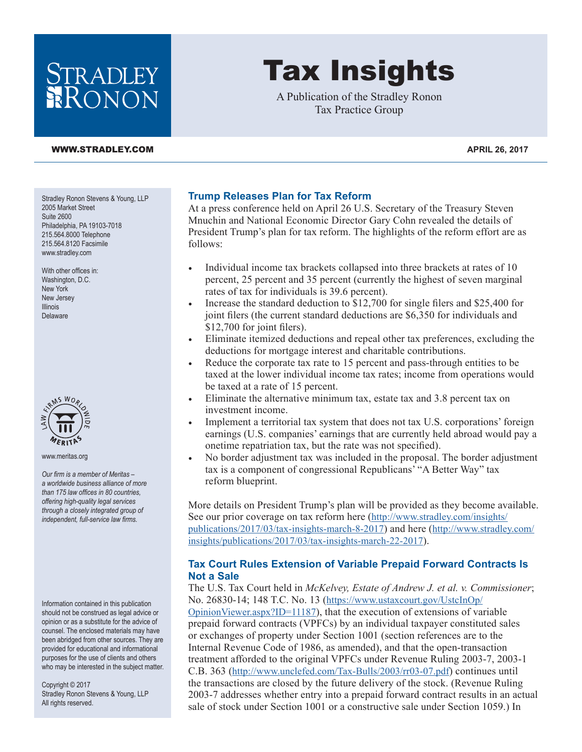# STRADLEY RONON

#### **[WWW.STRADLEY.COM](www.stradley.com) APRIL 26, 2017**

Stradley Ronon Stevens & Young, LLP 2005 Market Street Suite 2600 Philadelphia, PA 19103-7018 215.564.8000 Telephone 215.564.8120 Facsimile [www.stradley.com](http://www.stradley.com)

With other offices in: Washington, D.C. New York New Jersey Illinois Delaware



[www.meritas.org](http://www.meritas.org)

*Our firm is a member of Meritas – a worldwide business alliance of more than 175 law offices in 80 countries, offering high-quality legal services through a closely integrated group of independent, full-service law firms.*

Information contained in this publication should not be construed as legal advice or opinion or as a substitute for the advice of counsel. The enclosed materials may have been abridged from other sources. They are provided for educational and informational purposes for the use of clients and others who may be interested in the subject matter.

Copyright © 2017 Stradley Ronon Stevens & Young, LLP All rights reserved.

#### **Trump Releases Plan for Tax Reform**

At a press conference held on April 26 U.S. Secretary of the Treasury Steven Mnuchin and National Economic Director Gary Cohn revealed the details of President Trump's plan for tax reform. The highlights of the reform effort are as follows:

Tax Insights

A Publication of the Stradley Ronon Tax Practice Group

- Individual income tax brackets collapsed into three brackets at rates of 10 percent, 25 percent and 35 percent (currently the highest of seven marginal rates of tax for individuals is 39.6 percent).
- Increase the standard deduction to \$12,700 for single filers and \$25,400 for joint filers (the current standard deductions are \$6,350 for individuals and \$12,700 for joint filers).
- Eliminate itemized deductions and repeal other tax preferences, excluding the deductions for mortgage interest and charitable contributions.
- Reduce the corporate tax rate to 15 percent and pass-through entities to be taxed at the lower individual income tax rates; income from operations would be taxed at a rate of 15 percent.
- Eliminate the alternative minimum tax, estate tax and 3.8 percent tax on investment income.
- Implement a territorial tax system that does not tax U.S. corporations' foreign earnings (U.S. companies' earnings that are currently held abroad would pay a onetime repatriation tax, but the rate was not specified).
- No border adjustment tax was included in the proposal. The border adjustment tax is a component of congressional Republicans' "A Better Way" tax reform blueprint.

More details on President Trump's plan will be provided as they become available. See our prior coverage on tax reform here ([http://www.stradley.com/insights/](http://www.stradley.com/insights/publications/2017/03/tax-insights-march-8-2017) [publications/2017/03/tax-insights-march-8-2017\)](http://www.stradley.com/insights/publications/2017/03/tax-insights-march-8-2017) and here ([http://www.stradley.com/](http://www.stradley.com/insights/publications/2017/03/tax-insights-march-22-2017) [insights/publications/2017/03/tax-insights-march-22-2017](http://www.stradley.com/insights/publications/2017/03/tax-insights-march-22-2017)).

### **Tax Court Rules Extension of Variable Prepaid Forward Contracts Is Not a Sale**

The U.S. Tax Court held in *McKelvey, Estate of Andrew J. et al. v. Commissioner*; No. 26830-14; 148 T.C. No. 13 ([https://www.ustaxcourt.gov/UstcInOp/](https://www.ustaxcourt.gov/UstcInOp/OpinionViewer.aspx?ID=11187)

[OpinionViewer.aspx?ID=11187\)](https://www.ustaxcourt.gov/UstcInOp/OpinionViewer.aspx?ID=11187), that the execution of extensions of variable prepaid forward contracts (VPFCs) by an individual taxpayer constituted sales or exchanges of property under Section 1001 (section references are to the Internal Revenue Code of 1986, as amended), and that the open-transaction treatment afforded to the original VPFCs under Revenue Ruling 2003-7, 2003-1 C.B. 363 [\(http://www.unclefed.com/Tax-Bulls/2003/rr03-07.pdf\)](http://www.unclefed.com/Tax-Bulls/2003/rr03-07.pdf) continues until the transactions are closed by the future delivery of the stock. (Revenue Ruling 2003-7 addresses whether entry into a prepaid forward contract results in an actual sale of stock under Section 1001 or a constructive sale under Section 1059.) In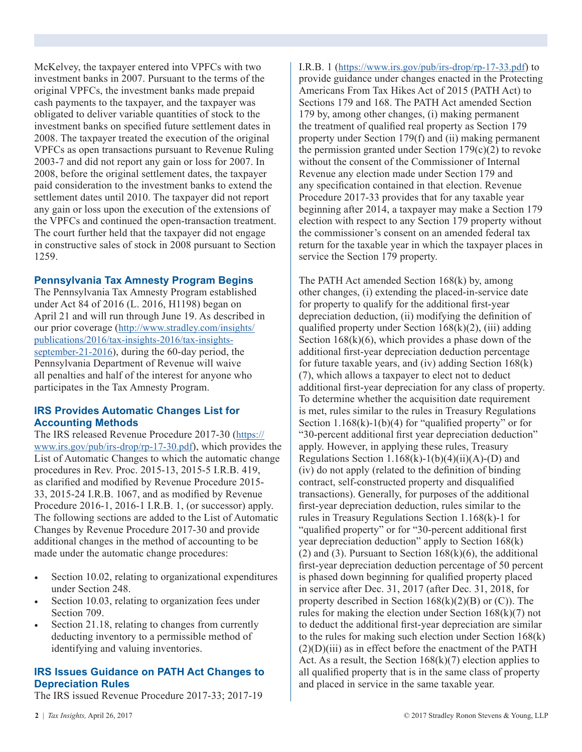McKelvey, the taxpayer entered into VPFCs with two investment banks in 2007. Pursuant to the terms of the original VPFCs, the investment banks made prepaid cash payments to the taxpayer, and the taxpayer was obligated to deliver variable quantities of stock to the investment banks on specified future settlement dates in 2008. The taxpayer treated the execution of the original VPFCs as open transactions pursuant to Revenue Ruling 2003-7 and did not report any gain or loss for 2007. In 2008, before the original settlement dates, the taxpayer paid consideration to the investment banks to extend the settlement dates until 2010. The taxpayer did not report any gain or loss upon the execution of the extensions of the VPFCs and continued the open-transaction treatment. The court further held that the taxpayer did not engage in constructive sales of stock in 2008 pursuant to Section 1259.

## **Pennsylvania Tax Amnesty Program Begins**

The Pennsylvania Tax Amnesty Program established under Act 84 of 2016 (L. 2016, H1198) began on April 21 and will run through June 19. As described in our prior coverage ([http://www.stradley.com/insights/](http://www.stradley.com/insights/publications/2016/tax-insights-2016/tax-insights-september-21-2016) [publications/2016/tax-insights-2016/tax-insights](http://www.stradley.com/insights/publications/2016/tax-insights-2016/tax-insights-september-21-2016)[september-21-2016](http://www.stradley.com/insights/publications/2016/tax-insights-2016/tax-insights-september-21-2016)), during the 60-day period, the Pennsylvania Department of Revenue will waive all penalties and half of the interest for anyone who participates in the Tax Amnesty Program.

#### **IRS Provides Automatic Changes List for Accounting Methods**

The IRS released Revenue Procedure 2017-30 ([https://](https://www.irs.gov/pub/irs-drop/rp-17-30.pdf) [www.irs.gov/pub/irs-drop/rp-17-30.pdf\)](https://www.irs.gov/pub/irs-drop/rp-17-30.pdf), which provides the List of Automatic Changes to which the automatic change procedures in Rev. Proc. 2015-13, 2015-5 I.R.B. 419, as clarified and modified by Revenue Procedure 2015- 33, 2015-24 I.R.B. 1067, and as modified by Revenue Procedure 2016-1, 2016-1 I.R.B. 1, (or successor) apply. The following sections are added to the List of Automatic Changes by Revenue Procedure 2017-30 and provide additional changes in the method of accounting to be made under the automatic change procedures:

- Section 10.02, relating to organizational expenditures under Section 248.
- Section 10.03, relating to organization fees under Section 709.
- Section 21.18, relating to changes from currently deducting inventory to a permissible method of identifying and valuing inventories.

#### **IRS Issues Guidance on PATH Act Changes to Depreciation Rules**

The IRS issued Revenue Procedure 2017-33; 2017-19

I.R.B. 1 [\(https://www.irs.gov/pub/irs-drop/rp-17-33.pdf](https://www.irs.gov/pub/irs-drop/rp-17-33.pdf)) to provide guidance under changes enacted in the Protecting Americans From Tax Hikes Act of 2015 (PATH Act) to Sections 179 and 168. The PATH Act amended Section 179 by, among other changes, (i) making permanent the treatment of qualified real property as Section 179 property under Section 179(f) and (ii) making permanent the permission granted under Section  $179(c)(2)$  to revoke without the consent of the Commissioner of Internal Revenue any election made under Section 179 and any specification contained in that election. Revenue Procedure 2017-33 provides that for any taxable year beginning after 2014, a taxpayer may make a Section 179 election with respect to any Section 179 property without the commissioner's consent on an amended federal tax return for the taxable year in which the taxpayer places in service the Section 179 property.

The PATH Act amended Section 168(k) by, among other changes, (i) extending the placed-in-service date for property to qualify for the additional first-year depreciation deduction, (ii) modifying the definition of qualified property under Section  $168(k)(2)$ , (iii) adding Section  $168(k)(6)$ , which provides a phase down of the additional first-year depreciation deduction percentage for future taxable years, and (iv) adding Section 168(k) (7), which allows a taxpayer to elect not to deduct additional first-year depreciation for any class of property. To determine whether the acquisition date requirement is met, rules similar to the rules in Treasury Regulations Section  $1.168(k)-1(b)(4)$  for "qualified property" or for "30-percent additional first year depreciation deduction" apply. However, in applying these rules, Treasury Regulations Section  $1.168(k)-1(b)(4)(ii)(A)-(D)$  and (iv) do not apply (related to the definition of binding contract, self-constructed property and disqualified transactions). Generally, for purposes of the additional first-year depreciation deduction, rules similar to the rules in Treasury Regulations Section 1.168(k)-1 for "qualified property" or for "30-percent additional first year depreciation deduction" apply to Section 168(k) (2) and (3). Pursuant to Section  $168(k)(6)$ , the additional first-year depreciation deduction percentage of 50 percent is phased down beginning for qualified property placed in service after Dec. 31, 2017 (after Dec. 31, 2018, for property described in Section  $168(k)(2)(B)$  or  $(C)$ ). The rules for making the election under Section  $168(k)(7)$  not to deduct the additional first-year depreciation are similar to the rules for making such election under Section 168(k)  $(2)(D)(iii)$  as in effect before the enactment of the PATH Act. As a result, the Section  $168(k)(7)$  election applies to all qualified property that is in the same class of property and placed in service in the same taxable year.